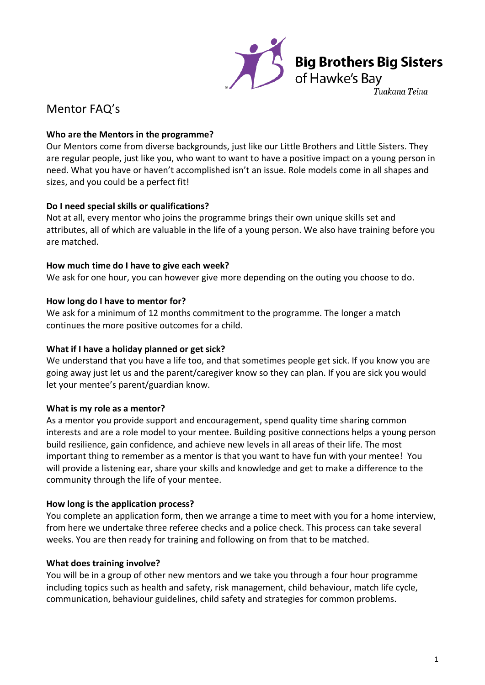

## Mentor FAQ's

## **Who are the Mentors in the programme?**

Our Mentors come from diverse backgrounds, just like our Little Brothers and Little Sisters. They are regular people, just like you, who want to want to have a positive impact on a young person in need. What you have or haven't accomplished isn't an issue. Role models come in all shapes and sizes, and you could be a perfect fit!

## **Do I need special skills or qualifications?**

Not at all, every mentor who joins the programme brings their own unique skills set and attributes, all of which are valuable in the life of a young person. We also have training before you are matched.

## **How much time do I have to give each week?**

We ask for one hour, you can however give more depending on the outing you choose to do.

## **How long do I have to mentor for?**

We ask for a minimum of 12 months commitment to the programme. The longer a match continues the more positive outcomes for a child.

## **What if I have a holiday planned or get sick?**

We understand that you have a life too, and that sometimes people get sick. If you know you are going away just let us and the parent/caregiver know so they can plan. If you are sick you would let your mentee's parent/guardian know.

## **What is my role as a mentor?**

As a mentor you provide support and encouragement, spend quality time sharing common interests and are a role model to your mentee. Building positive connections helps a young person build resilience, gain confidence, and achieve new levels in all areas of their life. The most important thing to remember as a mentor is that you want to have fun with your mentee! You will provide a listening ear, share your skills and knowledge and get to make a difference to the community through the life of your mentee.

## **How long is the application process?**

You complete an application form, then we arrange a time to meet with you for a home interview, from here we undertake three referee checks and a police check. This process can take several weeks. You are then ready for training and following on from that to be matched.

## **What does training involve?**

You will be in a group of other new mentors and we take you through a four hour programme including topics such as health and safety, risk management, child behaviour, match life cycle, communication, behaviour guidelines, child safety and strategies for common problems.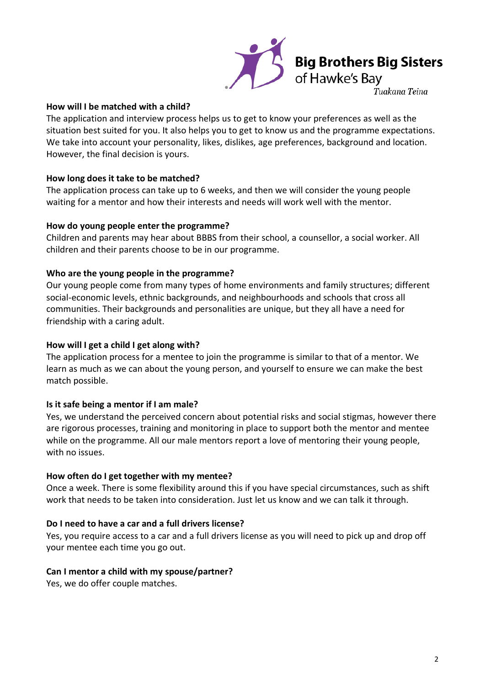

#### **How will I be matched with a child?**

The application and interview process helps us to get to know your preferences as well as the situation best suited for you. It also helps you to get to know us and the programme expectations. We take into account your personality, likes, dislikes, age preferences, background and location. However, the final decision is yours.

#### **How long does it take to be matched?**

The application process can take up to 6 weeks, and then we will consider the young people waiting for a mentor and how their interests and needs will work well with the mentor.

#### **How do young people enter the programme?**

Children and parents may hear about BBBS from their school, a counsellor, a social worker. All children and their parents choose to be in our programme.

#### **Who are the young people in the programme?**

Our young people come from many types of home environments and family structures; different social-economic levels, ethnic backgrounds, and neighbourhoods and schools that cross all communities. Their backgrounds and personalities are unique, but they all have a need for friendship with a caring adult.

#### **How will I get a child I get along with?**

The application process for a mentee to join the programme is similar to that of a mentor. We learn as much as we can about the young person, and yourself to ensure we can make the best match possible.

#### **Is it safe being a mentor if I am male?**

Yes, we understand the perceived concern about potential risks and social stigmas, however there are rigorous processes, training and monitoring in place to support both the mentor and mentee while on the programme. All our male mentors report a love of mentoring their young people, with no issues.

#### **How often do I get together with my mentee?**

Once a week. There is some flexibility around this if you have special circumstances, such as shift work that needs to be taken into consideration. Just let us know and we can talk it through.

#### **Do I need to have a car and a full drivers license?**

Yes, you require access to a car and a full drivers license as you will need to pick up and drop off your mentee each time you go out.

#### **Can I mentor a child with my spouse/partner?**

Yes, we do offer couple matches.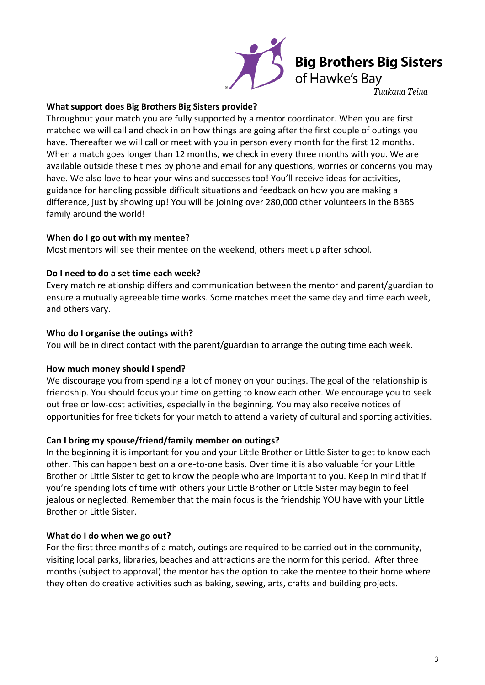

# **Big Brothers Big Sisters**<br>of Hawke's Bay

Tuakana Teina

## **What support does Big Brothers Big Sisters provide?**

Throughout your match you are fully supported by a mentor coordinator. When you are first matched we will call and check in on how things are going after the first couple of outings you have. Thereafter we will call or meet with you in person every month for the first 12 months. When a match goes longer than 12 months, we check in every three months with you. We are available outside these times by phone and email for any questions, worries or concerns you may have. We also love to hear your wins and successes too! You'll receive ideas for activities, guidance for handling possible difficult situations and feedback on how you are making a difference, just by showing up! You will be joining over 280,000 other volunteers in the BBBS family around the world!

## **When do I go out with my mentee?**

Most mentors will see their mentee on the weekend, others meet up after school.

## **Do I need to do a set time each week?**

Every match relationship differs and communication between the mentor and parent/guardian to ensure a mutually agreeable time works. Some matches meet the same day and time each week, and others vary.

## **Who do I organise the outings with?**

You will be in direct contact with the parent/guardian to arrange the outing time each week.

## **How much money should I spend?**

We discourage you from spending a lot of money on your outings. The goal of the relationship is friendship. You should focus your time on getting to know each other. We encourage you to seek out free or low-cost activities, especially in the beginning. You may also receive notices of opportunities for free tickets for your match to attend a variety of cultural and sporting activities.

## **Can I bring my spouse/friend/family member on outings?**

In the beginning it is important for you and your Little Brother or Little Sister to get to know each other. This can happen best on a one-to-one basis. Over time it is also valuable for your Little Brother or Little Sister to get to know the people who are important to you. Keep in mind that if you're spending lots of time with others your Little Brother or Little Sister may begin to feel jealous or neglected. Remember that the main focus is the friendship YOU have with your Little Brother or Little Sister.

## **What do I do when we go out?**

For the first three months of a match, outings are required to be carried out in the community, visiting local parks, libraries, beaches and attractions are the norm for this period. After three months (subject to approval) the mentor has the option to take the mentee to their home where they often do creative activities such as baking, sewing, arts, crafts and building projects.